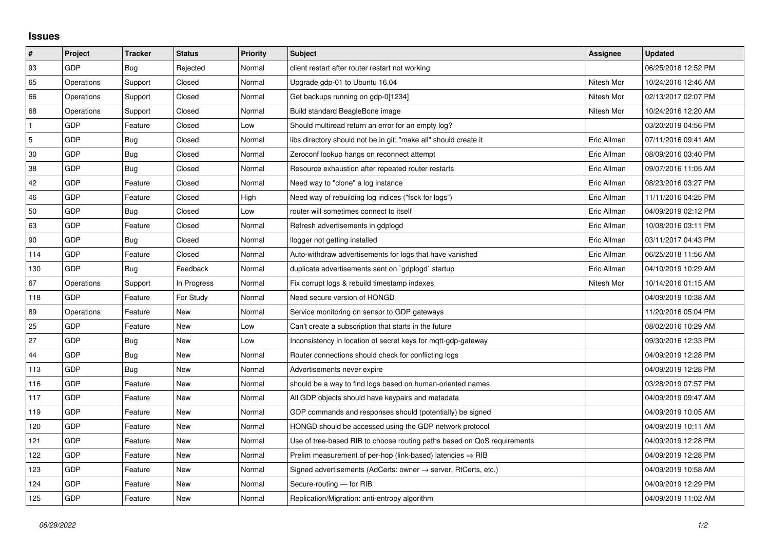## **Issues**

| $\vert$ #      | Project    | <b>Tracker</b> | <b>Status</b> | <b>Priority</b> | <b>Subject</b>                                                             | Assignee    | <b>Updated</b>      |
|----------------|------------|----------------|---------------|-----------------|----------------------------------------------------------------------------|-------------|---------------------|
| 93             | GDP        | Bug            | Rejected      | Normal          | client restart after router restart not working                            |             | 06/25/2018 12:52 PM |
| 65             | Operations | Support        | Closed        | Normal          | Upgrade gdp-01 to Ubuntu 16.04                                             | Nitesh Mor  | 10/24/2016 12:46 AM |
| 66             | Operations | Support        | Closed        | Normal          | Get backups running on gdp-0[1234]                                         | Nitesh Mor  | 02/13/2017 02:07 PM |
| 68             | Operations | Support        | Closed        | Normal          | Build standard BeagleBone image                                            | Nitesh Mor  | 10/24/2016 12:20 AM |
| $\mathbf{1}$   | GDP        | Feature        | Closed        | Low             | Should multiread return an error for an empty log?                         |             | 03/20/2019 04:56 PM |
| $\overline{5}$ | GDP        | Bug            | Closed        | Normal          | libs directory should not be in git; "make all" should create it           | Eric Allman | 07/11/2016 09:41 AM |
| 30             | GDP        | Bug            | Closed        | Normal          | Zeroconf lookup hangs on reconnect attempt                                 | Eric Allman | 08/09/2016 03:40 PM |
| 38             | GDP        | Bug            | Closed        | Normal          | Resource exhaustion after repeated router restarts                         | Eric Allman | 09/07/2016 11:05 AM |
| 42             | GDP        | Feature        | Closed        | Normal          | Need way to "clone" a log instance                                         | Eric Allman | 08/23/2016 03:27 PM |
| 46             | GDP        | Feature        | Closed        | High            | Need way of rebuilding log indices ("fsck for logs")                       | Eric Allman | 11/11/2016 04:25 PM |
| 50             | GDP        | Bug            | Closed        | Low             | router will sometimes connect to itself                                    | Eric Allman | 04/09/2019 02:12 PM |
| 63             | GDP        | Feature        | Closed        | Normal          | Refresh advertisements in gdplogd                                          | Eric Allman | 10/08/2016 03:11 PM |
| 90             | GDP        | Bug            | Closed        | Normal          | llogger not getting installed                                              | Eric Allman | 03/11/2017 04:43 PM |
| 114            | GDP        | Feature        | Closed        | Normal          | Auto-withdraw advertisements for logs that have vanished                   | Eric Allman | 06/25/2018 11:56 AM |
| 130            | GDP        | Bug            | Feedback      | Normal          | duplicate advertisements sent on `gdplogd` startup                         | Eric Allman | 04/10/2019 10:29 AM |
| 67             | Operations | Support        | In Progress   | Normal          | Fix corrupt logs & rebuild timestamp indexes                               | Nitesh Mor  | 10/14/2016 01:15 AM |
| 118            | GDP        | Feature        | For Study     | Normal          | Need secure version of HONGD                                               |             | 04/09/2019 10:38 AM |
| 89             | Operations | Feature        | New           | Normal          | Service monitoring on sensor to GDP gateways                               |             | 11/20/2016 05:04 PM |
| 25             | GDP        | Feature        | New           | Low             | Can't create a subscription that starts in the future                      |             | 08/02/2016 10:29 AM |
| 27             | GDP        | Bug            | New           | Low             | Inconsistency in location of secret keys for mgtt-gdp-gateway              |             | 09/30/2016 12:33 PM |
| 44             | GDP        | Bug            | New           | Normal          | Router connections should check for conflicting logs                       |             | 04/09/2019 12:28 PM |
| 113            | GDP        | Bug            | New           | Normal          | Advertisements never expire                                                |             | 04/09/2019 12:28 PM |
| 116            | GDP        | Feature        | New           | Normal          | should be a way to find logs based on human-oriented names                 |             | 03/28/2019 07:57 PM |
| 117            | GDP        | Feature        | <b>New</b>    | Normal          | All GDP objects should have keypairs and metadata                          |             | 04/09/2019 09:47 AM |
| 119            | GDP        | Feature        | New           | Normal          | GDP commands and responses should (potentially) be signed                  |             | 04/09/2019 10:05 AM |
| 120            | GDP        | Feature        | New           | Normal          | HONGD should be accessed using the GDP network protocol                    |             | 04/09/2019 10:11 AM |
| 121            | GDP        | Feature        | New           | Normal          | Use of tree-based RIB to choose routing paths based on QoS requirements    |             | 04/09/2019 12:28 PM |
| 122            | GDP        | Feature        | New           | Normal          | Prelim measurement of per-hop (link-based) latencies $\Rightarrow$ RIB     |             | 04/09/2019 12:28 PM |
| 123            | GDP        | Feature        | New           | Normal          | Signed advertisements (AdCerts: owner $\rightarrow$ server, RtCerts, etc.) |             | 04/09/2019 10:58 AM |
| 124            | GDP        | Feature        | New           | Normal          | Secure-routing - for RIB                                                   |             | 04/09/2019 12:29 PM |
| 125            | GDP        | Feature        | New           | Normal          | Replication/Migration: anti-entropy algorithm                              |             | 04/09/2019 11:02 AM |